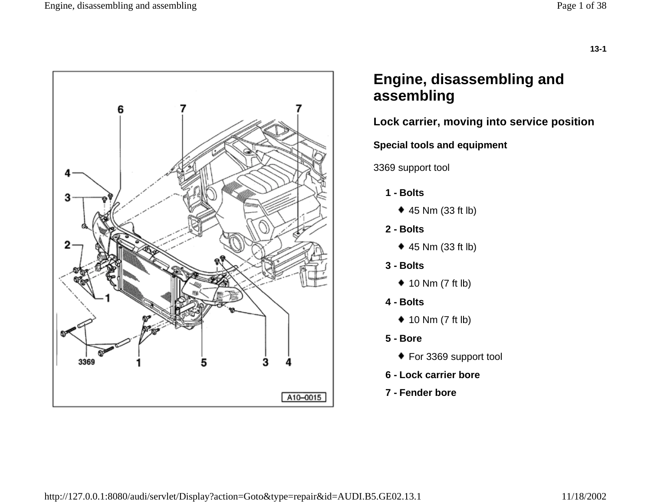

# **Engine, disassembling and assembling**

## **Lock carrier, moving into service position**

**Special tools and equipment** 

3369 support tool

- **1 - Bolts**
	- ◆ 45 Nm (33 ft lb)
- **2 - Bolts**
	- 45 Nm (33 ft lb)
- **3 - Bolts**
	- $\triangleq$  10 Nm (7 ft lb)
- **4 - Bolts**
	- $\triangleq$  10 Nm (7 ft lb)
- **5 - Bore**
	- ◆ For 3369 support tool
- **6 - Lock carrier bore**
- **7 - Fender bore**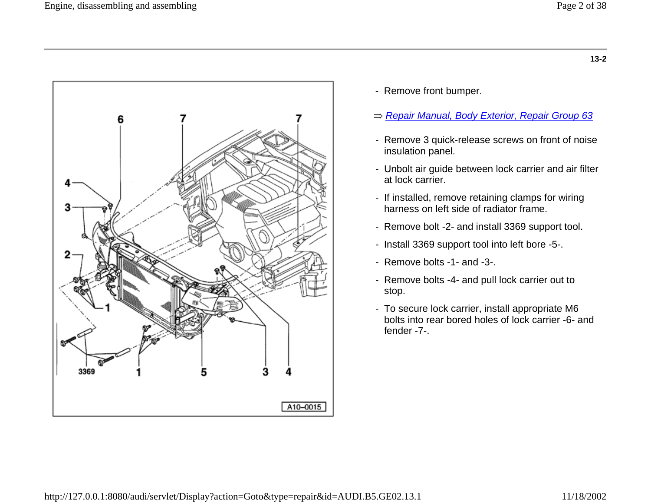

- Remove front bumper.
- *Repair Manual, Body Exterior, Repair Group 63*
- Remove 3 quick-release screws on front of noise insulation panel.
- Unbolt air guide between lock carrier and air filter at lock carrier.
- If installed, remove retaining clamps for wiring harness on left side of radiator frame.
- Remove bolt -2- and install 3369 support tool.
- Install 3369 support tool into left bore -5-.
- Remove bolts -1- and -3-.
- Remove bolts -4- and pull lock carrier out to stop.
- To secure lock carrier, install appropriate M6 bolts into rear bored holes of lock carrier -6- and fender -7-.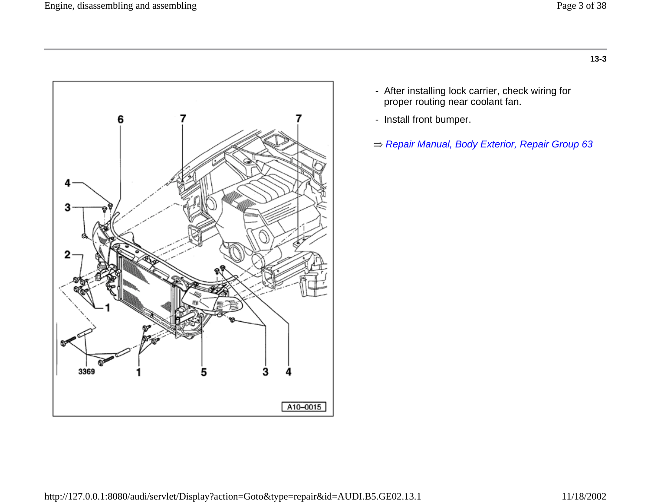

- After installing lock carrier, check wiring for proper routing near coolant fan.
- Install front bumper.
- *Repair Manual, Body Exterior, Repair Group 63*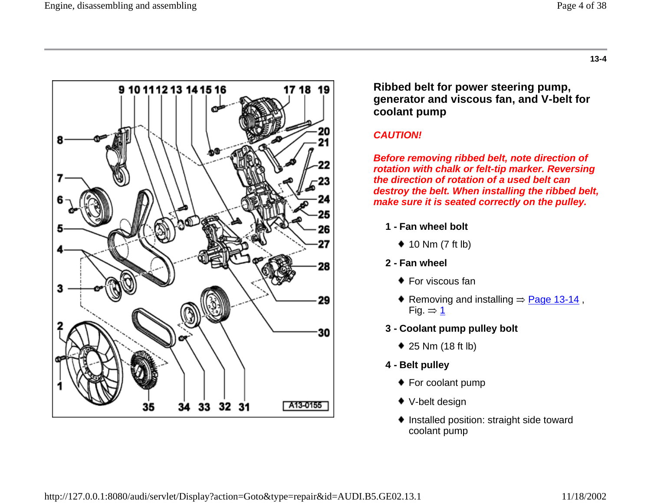

**Ribbed belt for power steering pump, generator and viscous fan, and V-belt for coolant pump**

#### *CAUTION!*

*Before removing ribbed belt, note direction of rotation with chalk or felt-tip marker. Reversing the direction of rotation of a used belt can destroy the belt. When installing the ribbed belt, make sure it is seated correctly on the pulley.*

- **1 - Fan wheel bolt**
	- $\triangleq$  10 Nm (7 ft lb)
- **2 - Fan wheel**
	- $\bullet$  For viscous fan
	- Removing and installing  $\Rightarrow$  Page 13-14, Fig.  $\Rightarrow$  1
- **3 - Coolant pump pulley bolt**
	- ◆ 25 Nm (18 ft lb)
- **4 - Belt pulley**
	- ◆ For coolant pump
	- ◆ V-belt design
	- ◆ Installed position: straight side toward coolant pump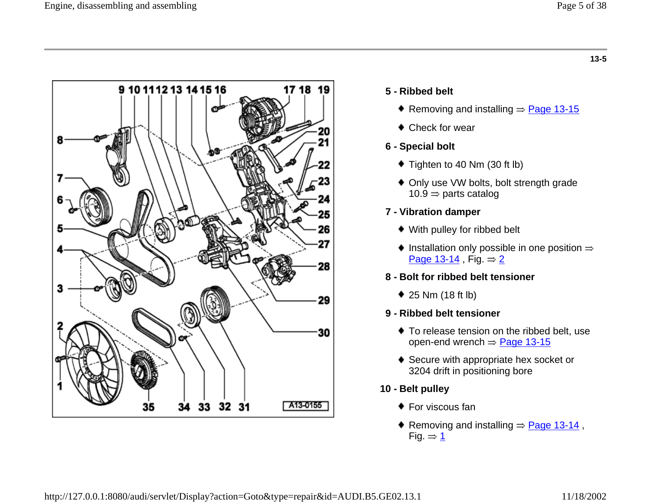

### **5 - Ribbed belt**

- Removing and installing  $\Rightarrow$  Page 13-15
- ◆ Check for wear

### **6 - Special bolt**

- ◆ Tighten to 40 Nm (30 ft lb)
- ◆ Only use VW bolts, bolt strength grade  $10.9 \Rightarrow$  parts catalog

### **7 - Vibration damper**

- With pulley for ribbed belt
- $\bullet$  Installation only possible in one position  $\Rightarrow$ Page 13-14, Fig.  $\Rightarrow$  2

### **8 - Bolt for ribbed belt tensioner**

25 Nm (18 ft lb)

### **9 - Ribbed belt tensioner**

- ◆ To release tension on the ribbed belt, use open-end wrench  $\Rightarrow$  Page 13-15
- ◆ Secure with appropriate hex socket or 3204 drift in positioning bore
- **10 - Belt pulley**
	- $\bullet$  For viscous fan
	- Removing and installing  $\Rightarrow$  Page 13-14, Fig.  $\Rightarrow$  1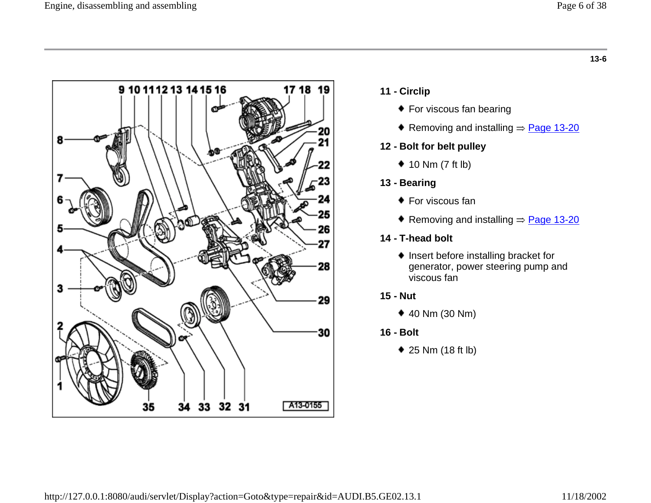

- **11 - Circlip**
	- ◆ For viscous fan bearing
	- Removing and installing  $\Rightarrow$  Page 13-20

#### **12 - Bolt for belt pulley**

 $\triangleq$  10 Nm (7 ft lb)

#### **13 - Bearing**

- ◆ For viscous fan
- Removing and installing  $\Rightarrow$  Page 13-20
- **14 - T-head bolt**
	- $\blacklozenge$  Insert before installing bracket for generator, power steering pump and viscous fan
- **15 - Nut**
	- 40 Nm (30 Nm)
- **16 - Bolt**
	- 25 Nm (18 ft lb)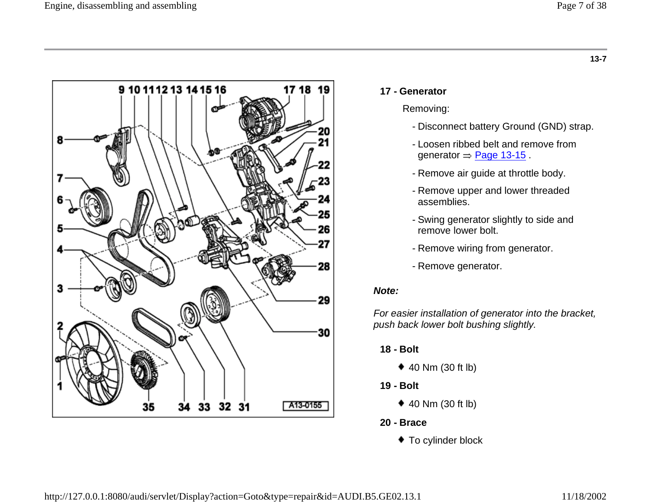

#### **17 - Generator**

#### Removing:

- Disconnect battery Ground (GND) strap.
- Loosen ribbed belt and remove from generator  $\Rightarrow$  Page 13-15.
- Remove air guide at throttle body.
- Remove upper and lower threaded assemblies.
- Swing generator slightly to side and remove lower bolt.
- Remove wiring from generator.
- Remove generator.

#### *Note:*

*For easier installation of generator into the bracket, push back lower bolt bushing slightly.*

- **18 - Bolt**
	- 40 Nm (30 ft lb)
- **19 - Bolt**
	- $\triangleq$  40 Nm (30 ft lb)
- **20 - Brace**
	- ◆ To cylinder block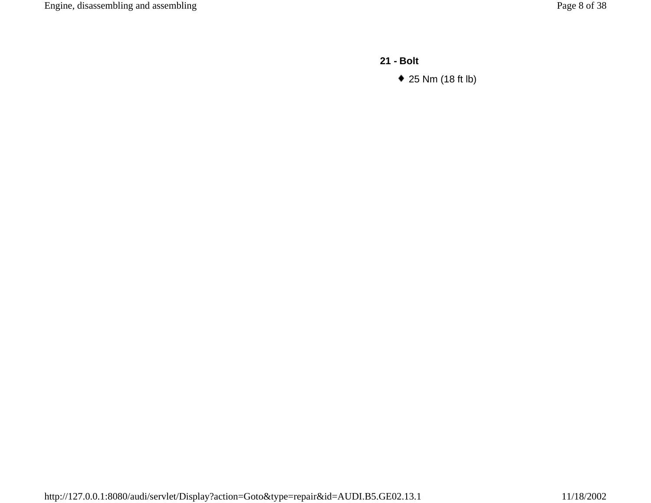**21 - Bolt**

25 Nm (18 ft lb)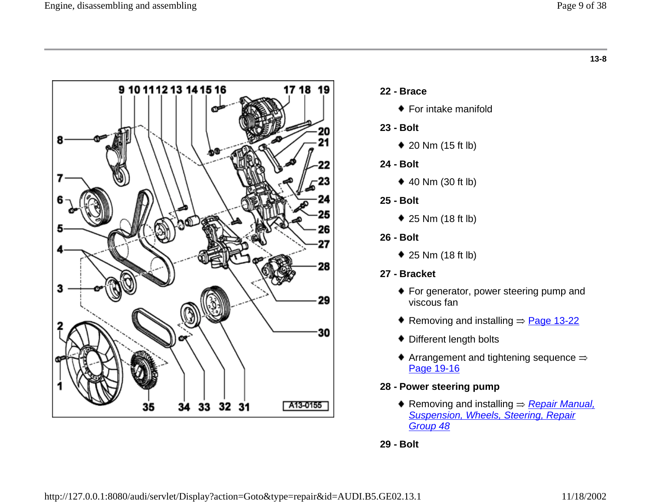

- **22 - Brace**
	- ◆ For intake manifold
- **23 - Bolt**
	- 20 Nm (15 ft lb)
- **24 - Bolt**
	- $\triangleq$  40 Nm (30 ft lb)
- **25 - Bolt**
	- 25 Nm (18 ft lb)
- **26 - Bolt**
	- 25 Nm (18 ft lb)
- **27 - Bracket**
	- ◆ For generator, power steering pump and viscous fan
	- Removing and installing  $\Rightarrow$  Page 13-22
	- ◆ Different length bolts
	- $\blacklozenge$  Arrangement and tightening sequence  $\Rightarrow$ Page 19-16

### **28 - Power steering pump**

Removing and installing ⇒ <u>*Repair Manual,*</u> *Suspension, Wheels, Steering, Repair Group 48*

**29 - Bolt**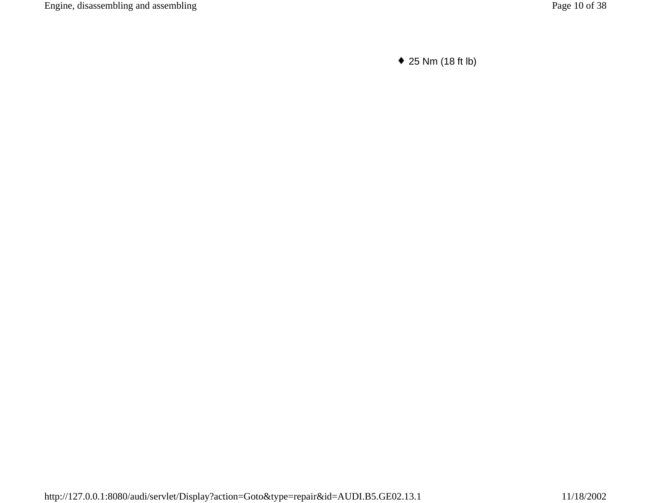25 Nm (18 ft lb)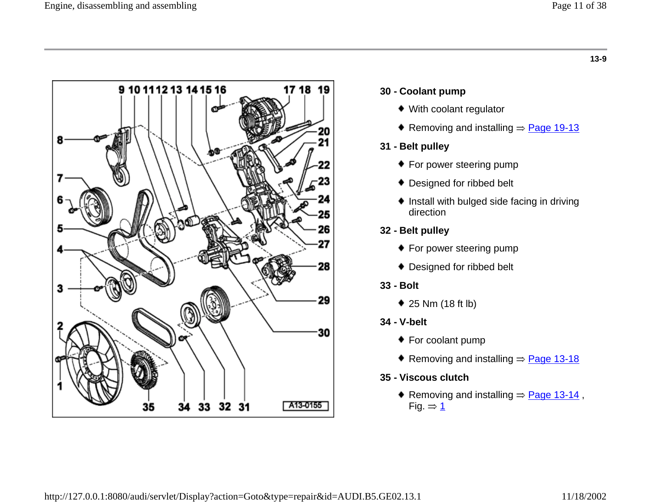

#### **30 - Coolant pump**

- With coolant regulator
- Removing and installing  $\Rightarrow$  Page 19-13

#### **31 - Belt pulley**

- ◆ For power steering pump
- ◆ Designed for ribbed belt
- $\bullet$  Install with bulged side facing in driving direction
- **32 - Belt pulley**
	- ◆ For power steering pump
	- ◆ Designed for ribbed belt
- **33 - Bolt**
	- 25 Nm (18 ft lb)
- **34 - V-belt**
	- ◆ For coolant pump
	- Removing and installing  $\Rightarrow$  Page 13-18
- **35 - Viscous clutch**
	- Removing and installing  $\Rightarrow$  Page 13-14, Fig.  $\Rightarrow$  1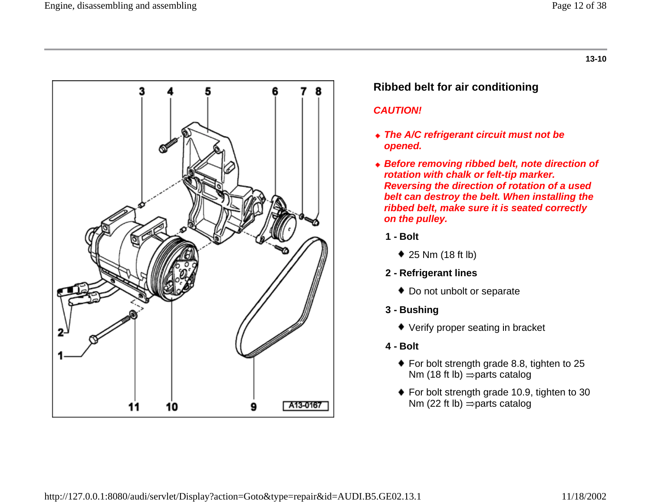

## **Ribbed belt for air conditioning**

### *CAUTION!*

- *The A/C refrigerant circuit must not be opened.*
- *Before removing ribbed belt, note direction of rotation with chalk or felt-tip marker. Reversing the direction of rotation of a used belt can destroy the belt. When installing the ribbed belt, make sure it is seated correctly on the pulley.*
	- **1 - Bolt**
		- ◆ 25 Nm (18 ft lb)
	- **2 - Refrigerant lines**
		- ◆ Do not unbolt or separate
	- **3 - Bushing**
		- ◆ Verify proper seating in bracket
	- **4 - Bolt**
		- ◆ For bolt strength grade 8.8, tighten to 25 Nm (18 ft lb)  $\Rightarrow$  parts catalog
		- ◆ For bolt strength grade 10.9, tighten to 30 Nm (22 ft lb)  $\Rightarrow$  parts catalog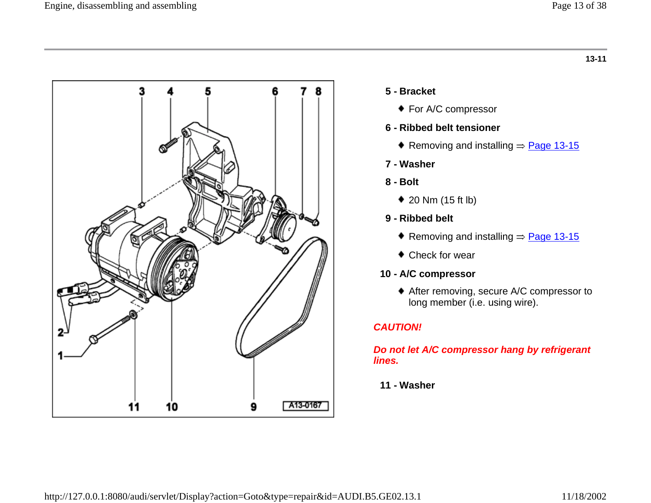

### **5 - Bracket**

◆ For A/C compressor

#### **6 - Ribbed belt tensioner**

Removing and installing  $\Rightarrow$  Page 13-15

#### **7 - Washer**

- **8 - Bolt**
	- 20 Nm (15 ft lb)
- **9 - Ribbed belt**
	- Removing and installing  $\Rightarrow$  Page 13-15
	- Check for wear

### **10 - A/C compressor**

After removing, secure A/C compressor to long member (i.e. using wire).

### *CAUTION!*

#### *Do not let A/C compressor hang by refrigerant lines.*

#### **11 - Washer**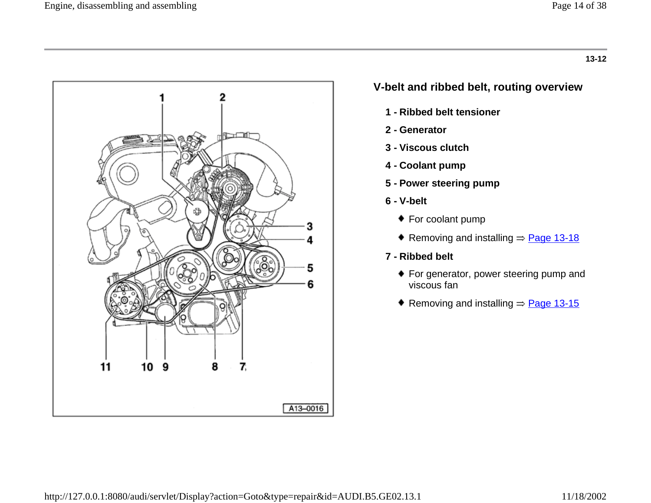

## **V-belt and ribbed belt, routing overview**

- **1 - Ribbed belt tensioner**
- **2 - Generator**
- **3 - Viscous clutch**
- **4 - Coolant pump**
- **5 - Power steering pump**
- **6 - V-belt**
	- ◆ For coolant pump
	- Removing and installing  $\Rightarrow$  Page 13-18
- **7 - Ribbed belt**
	- ◆ For generator, power steering pump and viscous fan
	- Removing and installing  $\Rightarrow$  Page 13-15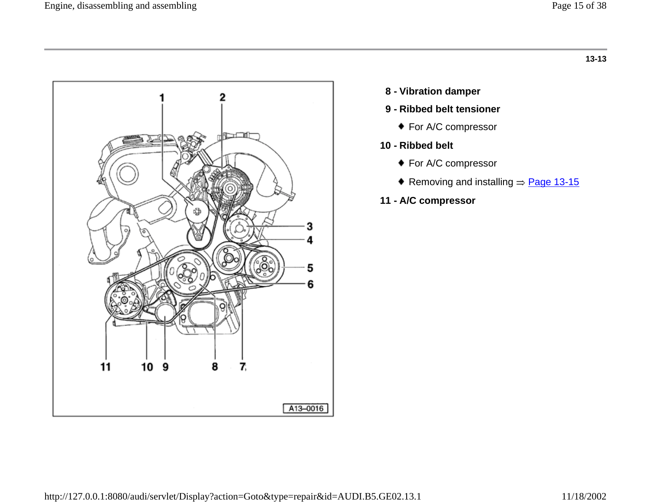

- **8 - Vibration damper**
- **9 - Ribbed belt tensioner**
	- ◆ For A/C compressor
- **10 - Ribbed belt**
	- ◆ For A/C compressor
	- Removing and installing  $\Rightarrow$  Page 13-15
- **11 - A/C compressor**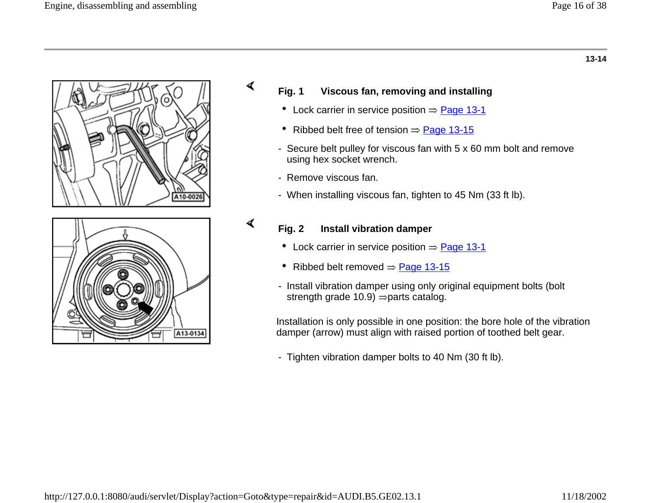



### **Fig. 1 Viscous fan, removing and installing**

- Lock carrier in service position  $\Rightarrow$  Page 13-1
- Ribbed belt free of tension  $\Rightarrow$  Page 13-15
- Secure belt pulley for viscous fan with 5 x 60 mm bolt and remove using hex socket wrench.
- Remove viscous fan.

∢

∢

- When installing viscous fan, tighten to 45 Nm (33 ft lb).

# **Fig. 2 Install vibration damper**

- Lock carrier in service position  $\Rightarrow$  Page 13-1
- Ribbed belt removed  $\Rightarrow$  Page 13-15
- Install vibration damper using only original equipment bolts (bolt strength grade 10.9)  $\Rightarrow$  parts catalog.

Installation is only possible in one position: the bore hole of the vibration damper (arrow) must align with raised portion of toothed belt gear.

- Tighten vibration damper bolts to 40 Nm (30 ft lb).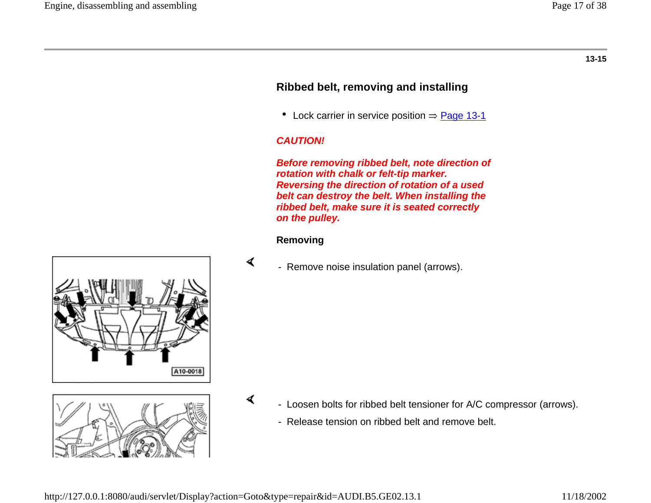## **Ribbed belt, removing and installing**

• Lock carrier in service position  $\Rightarrow$  Page 13-1

#### *CAUTION!*

*Before removing ribbed belt, note direction of rotation with chalk or felt-tip marker. Reversing the direction of rotation of a used belt can destroy the belt. When installing the ribbed belt, make sure it is seated correctly on the pulley.*

#### **Removing**

- Remove noise insulation panel (arrows).

- Loosen bolts for ribbed belt tensioner for A/C compressor (arrows).
	- Release tension on ribbed belt and remove belt.



∢

∢



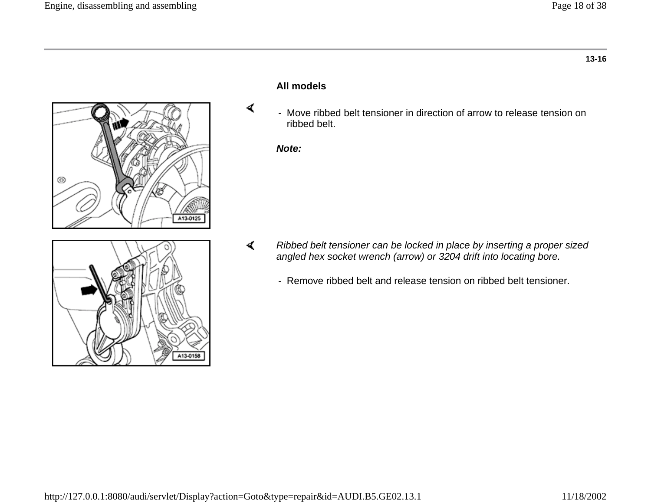



#### **All models**

- Move ribbed belt tensioner in direction of arrow to release tension on ribbed belt.

*Note:*

∢

- ∢ *Ribbed belt tensioner can be locked in place by inserting a proper sized angled hex socket wrench (arrow) or 3204 drift into locating bore.*
	- Remove ribbed belt and release tension on ribbed belt tensioner.

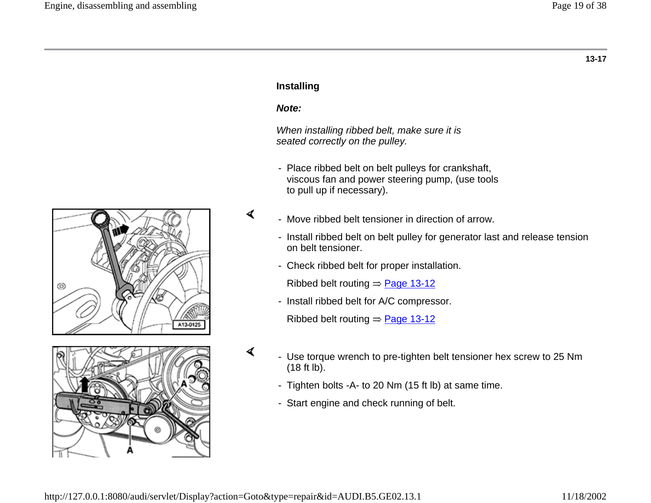

#### **Installing**

#### *Note:*

∢

∢

*When installing ribbed belt, make sure it is seated correctly on the pulley.*

- Place ribbed belt on belt pulleys for crankshaft, viscous fan and power steering pump, (use tools to pull up if necessary).
- Move ribbed belt tensioner in direction of arrow.
	- Install ribbed belt on belt pulley for generator last and release tension on belt tensioner.
	- Check ribbed belt for proper installation.

Ribbed belt routing  $\Rightarrow$  Page 13-12

- Install ribbed belt for A/C compressor.

Ribbed belt routing  $\Rightarrow$  Page 13-12

- Use torque wrench to pre-tighten belt tensioner hex screw to 25 Nm  $(18 ft lb).$
- Tighten bolts -A- to 20 Nm (15 ft lb) at same time.
- Start engine and check running of belt.

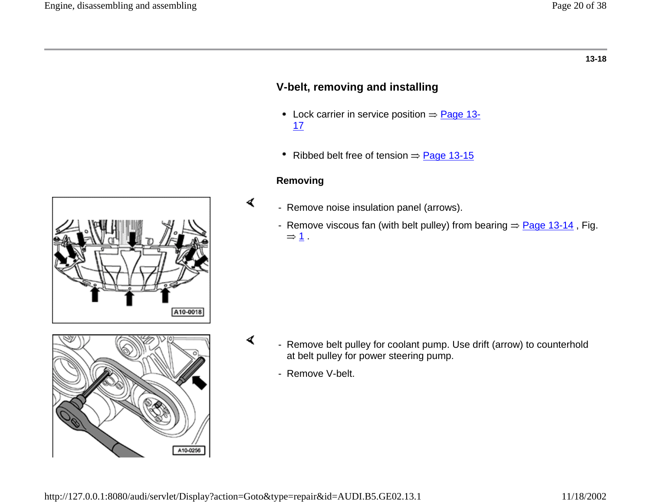## **V-belt, removing and installing**

- Lock carrier in service position  $\Rightarrow$  Page 13-17
- Ribbed belt free of tension  $\Rightarrow$  Page 13-15

#### **Removing**

∢

- Remove noise insulation panel (arrows).
	- Remove viscous fan (with belt pulley) from bearing  $\Rightarrow$  Page 13-14, Fig.  $\Rightarrow$  1.



- Remove belt pulley for coolant pump. Use drift (arrow) to counterhold at belt pulley for power steering pump.
	- Remove V-belt.

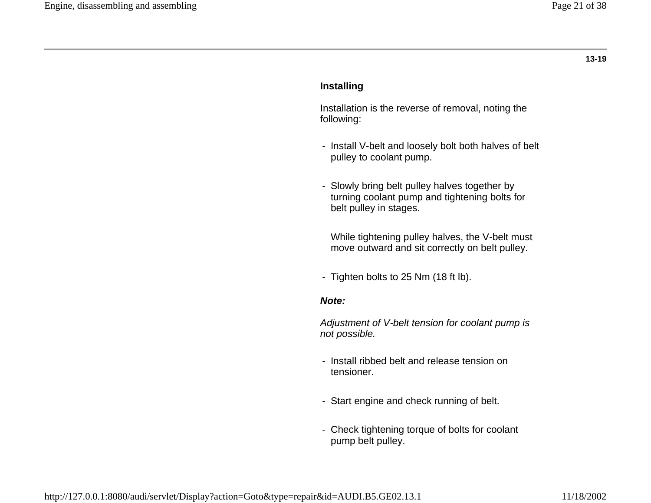#### **Installing**

 Installation is the reverse of removal, noting the following:

- Install V-belt and loosely bolt both halves of belt pulley to coolant pump.
- Slowly bring belt pulley halves together by turning coolant pump and tightening bolts for belt pulley in stages.

 While tightening pulley halves, the V-belt must move outward and sit correctly on belt pulley.

- Tighten bolts to 25 Nm (18 ft lb).

#### *Note:*

*Adjustment of V-belt tension for coolant pump is not possible.*

- Install ribbed belt and release tension on tensioner.
- Start engine and check running of belt.
- Check tightening torque of bolts for coolant pump belt pulley.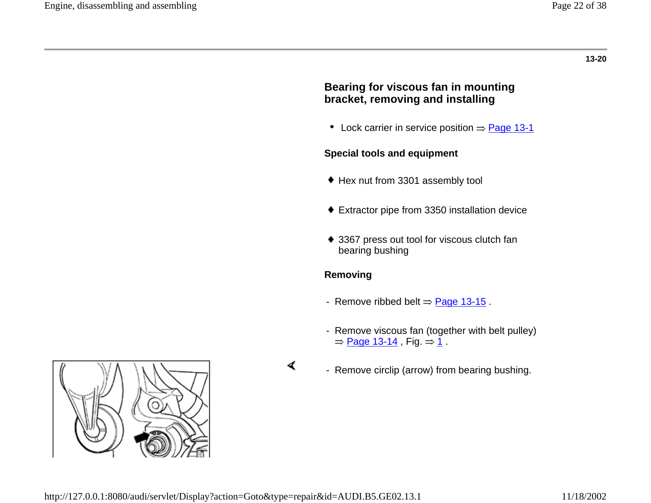## **Bearing for viscous fan in mounting bracket, removing and installing**

• Lock carrier in service position  $\Rightarrow$  Page 13-1

### **Special tools and equipment**

- Hex nut from 3301 assembly tool
- Extractor pipe from 3350 installation device
- ◆ 3367 press out tool for viscous clutch fan bearing bushing

### **Removing**

- Remove ribbed belt  $\Rightarrow$  Page 13-15.
- Remove viscous fan (together with belt pulley)  $\Rightarrow$  Page 13-14, Fig.  $\Rightarrow$  1.



 $\blacktriangleleft$ 

- Remove circlip (arrow) from bearing bushing.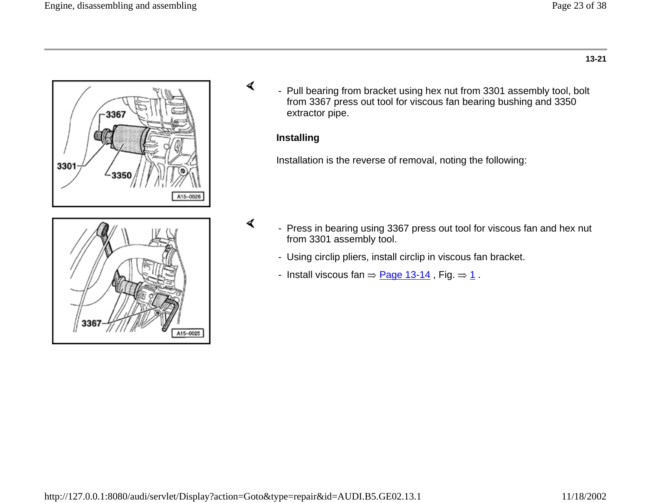



- Pull bearing from bracket using hex nut from 3301 assembly tool, bolt from 3367 press out tool for viscous fan bearing bushing and 3350 extractor pipe.

#### **Installing**

∢

∢

Installation is the reverse of removal, noting the following:

- Press in bearing using 3367 press out tool for viscous fan and hex nut from 3301 assembly tool.
	- Using circlip pliers, install circlip in viscous fan bracket.
	- Install viscous fan  $\Rightarrow$  Page 13-14, Fig.  $\Rightarrow$  1.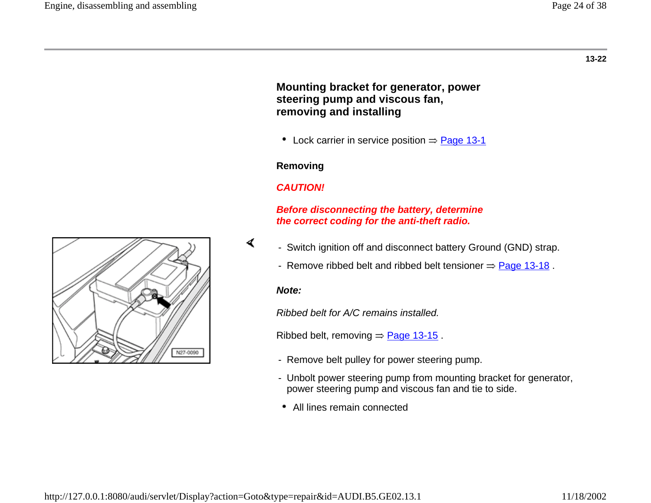### **Mounting bracket for generator, power steering pump and viscous fan, removing and installing**

• Lock carrier in service position  $\Rightarrow$  Page 13-1

#### **Removing**

### *CAUTION!*

#### *Before disconnecting the battery, determine the correct coding for the anti-theft radio.*

- Switch ignition off and disconnect battery Ground (GND) strap.
	- Remove ribbed belt and ribbed belt tensioner  $\Rightarrow$  Page 13-18.

#### *Note:*

∢

*Ribbed belt for A/C remains installed.*

Ribbed belt, removing  $\Rightarrow$  Page 13-15.

- Remove belt pulley for power steering pump.
- Unbolt power steering pump from mounting bracket for generator, power steering pump and viscous fan and tie to side.
- All lines remain connected

N27-0090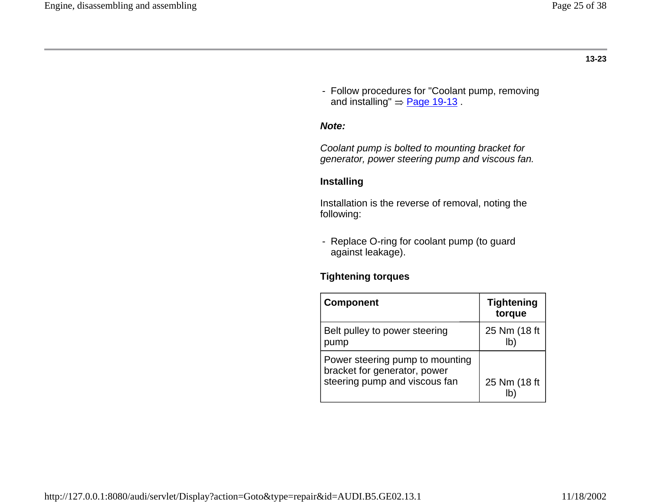- Follow procedures for "Coolant pump, removing and installing"  $\Rightarrow$  Page 19-13.

### *Note:*

*Coolant pump is bolted to mounting bracket for generator, power steering pump and viscous fan.*

#### **Installing**

 Installation is the reverse of removal, noting the following:

- Replace O-ring for coolant pump (to guard against leakage).

### **Tightening torques**

| <b>Component</b>                                                                                 | <b>Tightening</b><br>torque |
|--------------------------------------------------------------------------------------------------|-----------------------------|
| Belt pulley to power steering<br>pump                                                            | 25 Nm (18 ft                |
| Power steering pump to mounting<br>bracket for generator, power<br>steering pump and viscous fan | 25 Nm (18 ft                |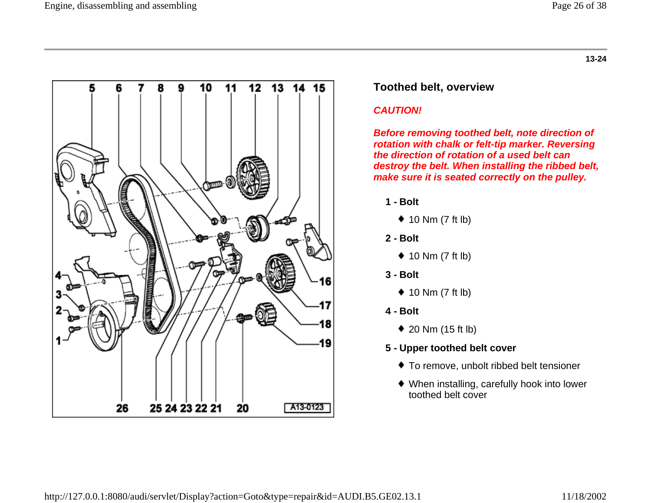

### **Toothed belt, overview**

### *CAUTION!*

*Before removing toothed belt, note direction of rotation with chalk or felt-tip marker. Reversing the direction of rotation of a used belt can destroy the belt. When installing the ribbed belt, make sure it is seated correctly on the pulley.*

- **1 - Bolt**
	- $\triangleq$  10 Nm (7 ft lb)
- **2 - Bolt**
	- $\triangleq$  10 Nm (7 ft lb)
- **3 - Bolt**
	- $\triangleq$  10 Nm (7 ft lb)
- **4 - Bolt**
	- 20 Nm (15 ft lb)
- **5 - Upper toothed belt cover**
	- To remove, unbolt ribbed belt tensioner
	- When installing, carefully hook into lower toothed belt cover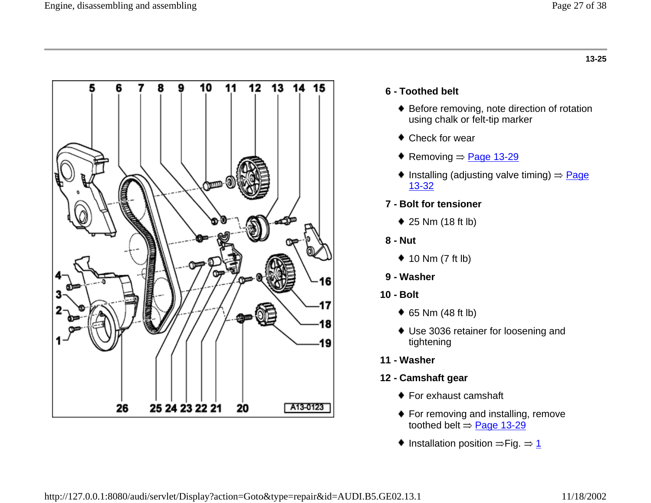

### **6 - Toothed belt**

- ◆ Before removing, note direction of rotation using chalk or felt-tip marker
- Check for wear
- Removing  $\Rightarrow$  Page 13-29
- Installing (adjusting valve timing)  $\Rightarrow \underline{Page}$ 13-32
- **7 - Bolt for tensioner**
	- 25 Nm (18 ft lb)
- **8 - Nut**
	- $\triangleq$  10 Nm (7 ft lb)
- **9 - Washer**
- **10 - Bolt**
	- 65 Nm (48 ft lb)
	- Use 3036 retainer for loosening and tightening
- **11 - Washer**
- **12 - Camshaft gear**
	- ◆ For exhaust camshaft
	- ◆ For removing and installing, remove toothed belt  $\Rightarrow$  Page 13-29
	- $\bullet$  Installation position  $\Rightarrow$  Fig.  $\Rightarrow$  1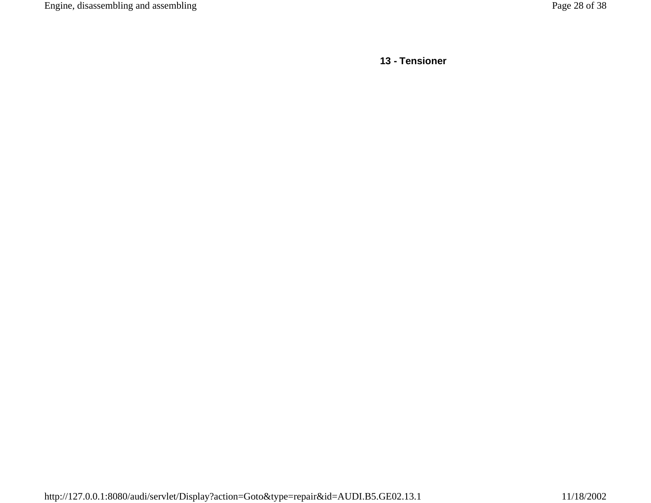**13 - Tensioner**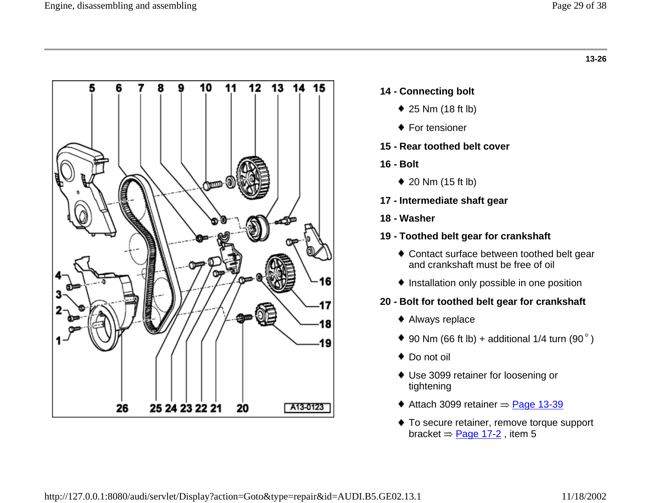

- **14 - Connecting bolt**
	- 25 Nm (18 ft lb)
	- ◆ For tensioner
- **15 - Rear toothed belt cover**
- **16 - Bolt**
	- ◆ 20 Nm (15 ft lb)
- **17 - Intermediate shaft gear**
- **18 - Washer**
- **19 - Toothed belt gear for crankshaft**
	- ◆ Contact surface between toothed belt gear and crankshaft must be free of oil
	- $\bullet$  Installation only possible in one position
- **20 - Bolt for toothed belt gear for crankshaft**
	- Always replace
	- $\blacklozenge$  90 Nm (66 ft lb) + additional 1/4 turn (90 $^{\circ}$ )
	- ◆ Do not oil
	- Use 3099 retainer for loosening or tightening
	- $\triangleleft$  Attach 3099 retainer  $\Rightarrow$  Page 13-39
	- ◆ To secure retainer, remove torque support bracket  $\Rightarrow$  Page 17-2, item 5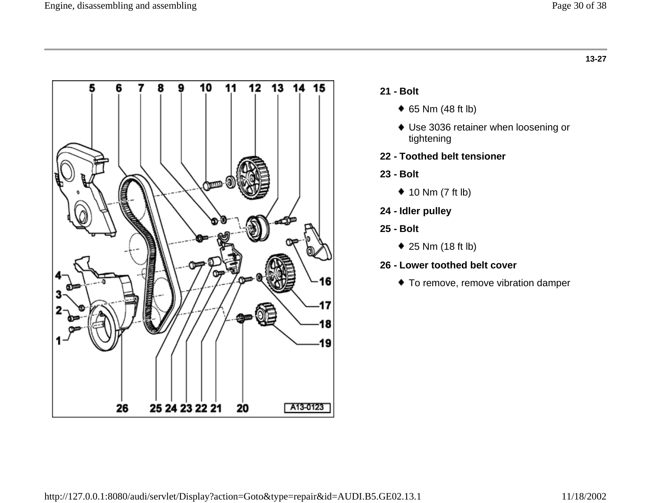

- **21 - Bolt**
	- 65 Nm (48 ft lb)
	- Use 3036 retainer when loosening or tightening
- **22 - Toothed belt tensioner**
- **23 - Bolt**
	- $*$  10 Nm (7 ft lb)
- **24 - Idler pulley**
- **25 - Bolt**
	- 25 Nm (18 ft lb)
- **26 - Lower toothed belt cover**
	- $\bullet$  To remove, remove vibration damper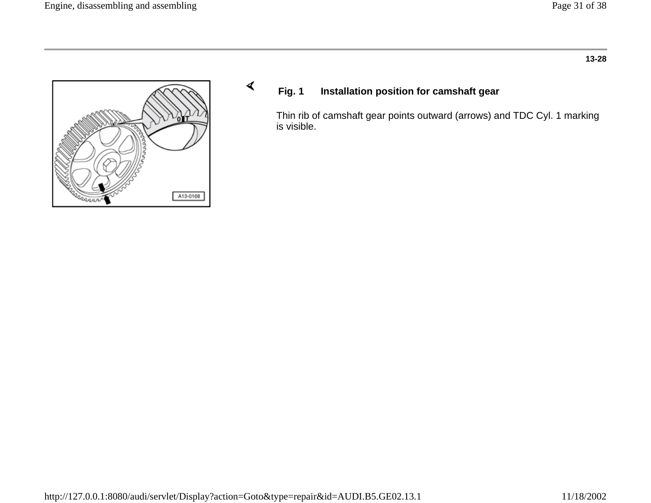

## **Fig. 1 Installation position for camshaft gear**

Thin rib of camshaft gear points outward (arrows) and TDC Cyl. 1 marking is visible.

∢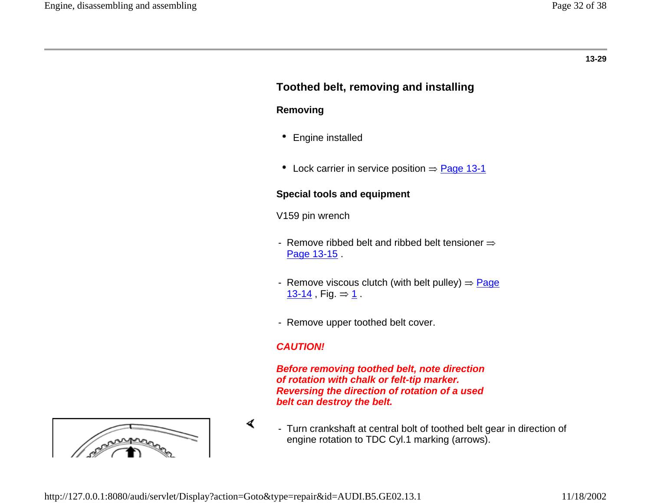## **Toothed belt, removing and installing**

#### **Removing**

- Engine installed
- Lock carrier in service position  $\Rightarrow$  Page 13-1

### **Special tools and equipment**

- V159 pin wrench
- Remove ribbed belt and ribbed belt tensioner  $\Rightarrow$ Page 13-15
- Remove viscous clutch (with belt pulley)  $\Rightarrow$  Page 13-14 , Fig.  $\Rightarrow$  1.
- Remove upper toothed belt cover.

### *CAUTION!*

*Before removing toothed belt, note direction of rotation with chalk or felt-tip marker. Reversing the direction of rotation of a used belt can destroy the belt.*



- Turn crankshaft at central bolt of toothed belt gear in direction of engine rotation to TDC Cyl.1 marking (arrows).

∢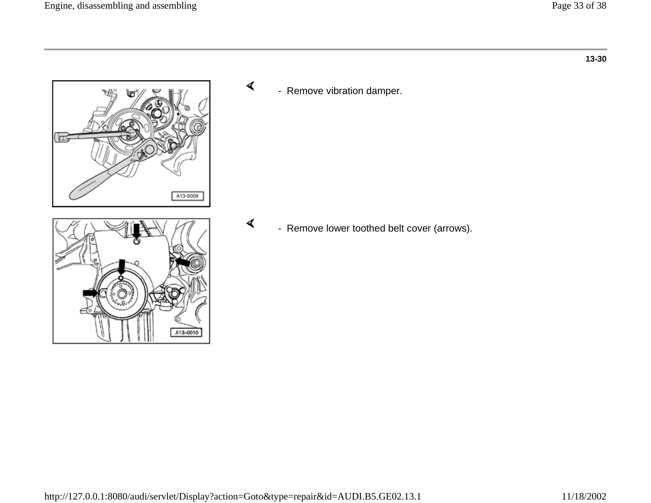

- Remove vibration damper.

∢

∢

- Remove lower toothed belt cover (arrows).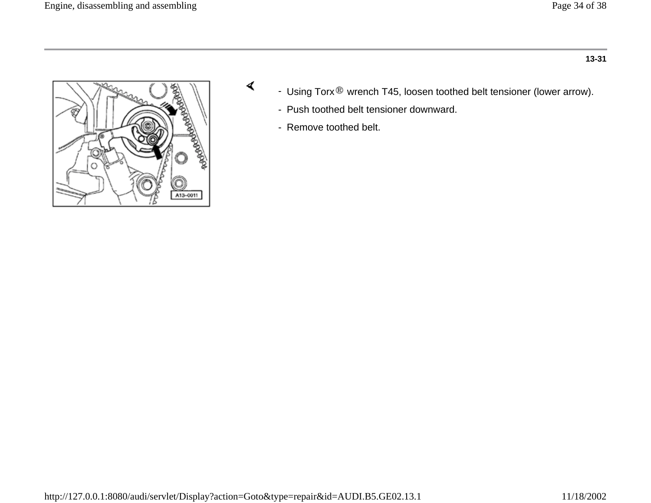



- Using Torx ® wrench T45, loosen toothed belt tensioner (lower arrow).
- Push toothed belt tensioner downward.
- Remove toothed belt.

∢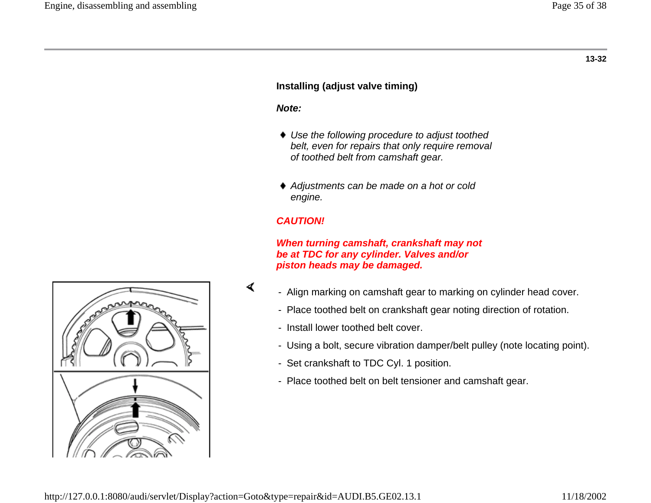### **Installing (adjust valve timing)**

#### *Note:*

- *Use the following procedure to adjust toothed belt, even for repairs that only require removal of toothed belt from camshaft gear.*
- *Adjustments can be made on a hot or cold engine.*

#### *CAUTION!*

*When turning camshaft, crankshaft may not be at TDC for any cylinder. Valves and/or piston heads may be damaged.*

- Align marking on camshaft gear to marking on cylinder head cover.
	- Place toothed belt on crankshaft gear noting direction of rotation.
	- Install lower toothed belt cover.
	- Using a bolt, secure vibration damper/belt pulley (note locating point).
	- Set crankshaft to TDC Cyl. 1 position.
	- Place toothed belt on belt tensioner and camshaft gear.



∢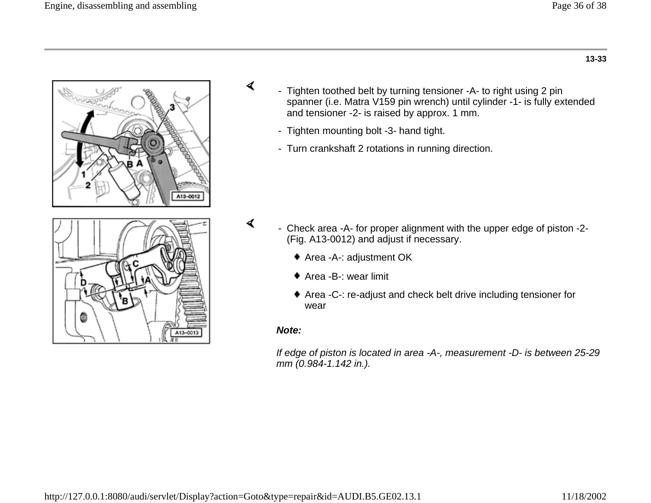

- Tighten toothed belt by turning tensioner -A- to right using 2 pin spanner (i.e. Matra V159 pin wrench) until cylinder -1- is fully extended and tensioner -2- is raised by approx. 1 mm.
	- Tighten mounting bolt -3- hand tight.
	- Turn crankshaft 2 rotations in running direction.

- ∢ - Check area -A- for proper alignment with the upper edge of piston -2- (Fig. A13-0012) and adjust if necessary.
	- ◆ Area -A-: adjustment OK
	- ◆ Area -B-: wear limit
	- ◆ Area -C-: re-adjust and check belt drive including tensioner for wear

#### *Note:*

∢

*If edge of piston is located in area -A-, measurement -D- is between 25-29 mm (0.984-1.142 in.).*

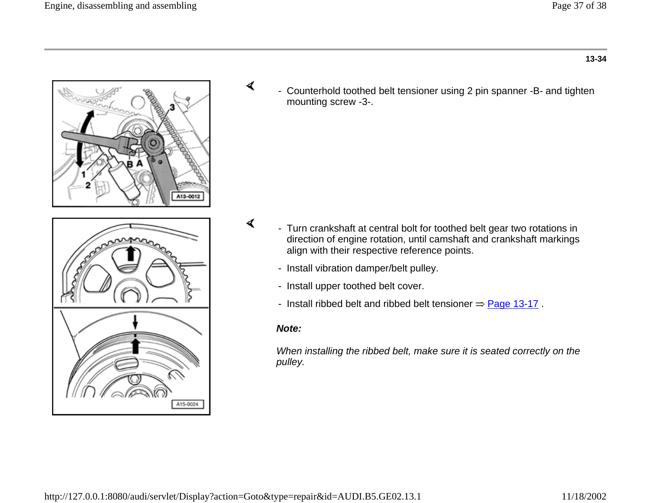

- Counterhold toothed belt tensioner using 2 pin spanner -B- and tighten mounting screw -3-.

- Turn crankshaft at central bolt for toothed belt gear two rotations in direction of engine rotation, until camshaft and crankshaft markings align with their respective reference points.
	- Install vibration damper/belt pulley.
	- Install upper toothed belt cover.
	- Install ribbed belt and ribbed belt tensioner  $\Rightarrow$  Page 13-17.

#### *Note:*

∢

∢

*When installing the ribbed belt, make sure it is seated correctly on the pulley.*